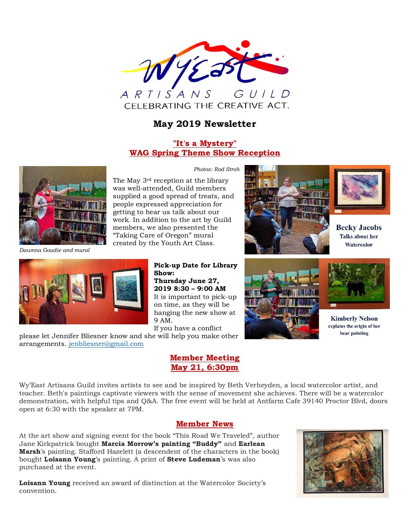

# **May 2019 Newsletter**

## **"It's a Mystery" WAG Spring Theme Show Reception**



*Dawnna Goudie and mural*

*Photos: Rod Stroh*

The May 3rd reception at the library was well-attended, Guild members supplied a good spread of treats, and people expressed appreciation for getting to hear us talk about our work. In addition to the art by Guild members, we also presented the "Taking Care of Oregon" mural created by the Youth Art Class.





**Becky Jacobs Talks about her** Watercolor





**Kimberly Nelson** explains the origin of her bear painting

**Pick-up Date for Library Show: Thursday June 27, 2019 8:30 – 9:00 AM** It is important to pick-up on time, as they will be hanging the new show at 9 AM. If you have a conflict

please let Jennifer Bliesner know and she will help you make other arrangements. [jenbliesner@gmail.com](mailto:jenbliesner@gmail.com)

## **Member Meeting May 21, 6:30pm**

Wy'East Artisans Guild invites artists to see and be inspired by Beth Verheyden, a local watercolor artist, and teacher. Beth's paintings captivate viewers with the sense of movement she achieves. There will be a watercolor demonstration, with helpful tips and Q&A. The free event will be held at Antfarm Cafe 39140 Proctor Blvd, doors open at 6:30 with the speaker at 7PM.

### **Member News**

At the art show and signing event for the book "This Road We Traveled", author Jane Kirkpatrick bought **Marcia Morrow's painting "Buddy"** and **Earlean Marsh**'s painting. Stafford Hazelett (a descendent of the characters in the book) bought **Loisann Young**'s painting. A print of **Steve Ludeman**'s was also purchased at the event.

**Loisann Young** received an award of distinction at the Watercolor Society's convention.

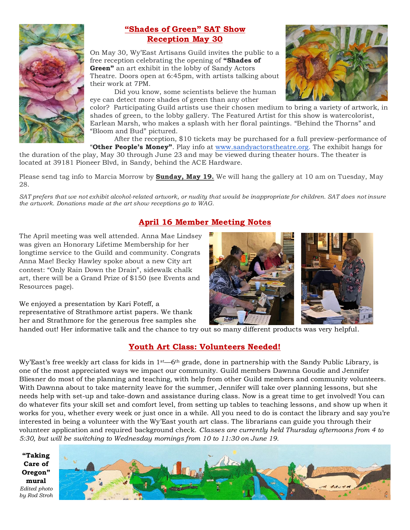

# **"Shades of Green" SAT Show Reception May 30**

On May 30, Wy'East Artisans Guild invites the public to a free reception celebrating the opening of **"Shades of Green"** an art exhibit in the lobby of Sandy Actors Theatre. Doors open at 6:45pm, with artists talking about their work at 7PM.

Did you know, some scientists believe the human eye can detect more shades of green than any other



color? Participating Guild artists use their chosen medium to bring a variety of artwork, in shades of green, to the lobby gallery. The Featured Artist for this show is watercolorist, Earlean Marsh, who makes a splash with her floral paintings. "Behind the Thorns" and "Bloom and Bud" pictured.

After the reception, \$10 tickets may be purchased for a full preview-performance of

"**Other People's Money"**. Play info at [www.sandyactorstheatre.org.](http://www.sandyactorstheatre.org/) The exhibit hangs for the duration of the play, May 30 through June 23 and may be viewed during theater hours. The theater is located at 39181 Pioneer Blvd, in Sandy, behind the ACE Hardware.

Please send tag info to Marcia Morrow by **Sunday, May 19.** We will hang the gallery at 10 am on Tuesday, May 28.

*SAT prefers that we not exhibit alcohol-related artwork, or nudity that would be inappropriate for children. SAT does not insure the artwork. Donations made at the art show receptions go to WAG.*

# **April 16 Member Meeting Notes**

The April meeting was well attended. Anna Mae Lindsey was given an Honorary Lifetime Membership for her longtime service to the Guild and community. Congrats Anna Mae! Becky Hawley spoke about a new City art contest: "Only Rain Down the Drain", sidewalk chalk art, there will be a Grand Prize of \$150 (see Events and Resources page).

We enjoyed a presentation by Kari Foteff, a representative of Strathmore artist papers. We thank her and Strathmore for the generous free samples she



handed out! Her informative talk and the chance to try out so many different products was very helpful.

# **Youth Art Class: Volunteers Needed!**

Wy'East's free weekly art class for kids in  $1^{st}$ —6<sup>th</sup> grade, done in partnership with the Sandy Public Library, is one of the most appreciated ways we impact our community. Guild members Dawnna Goudie and Jennifer Bliesner do most of the planning and teaching, with help from other Guild members and community volunteers. With Dawnna about to take maternity leave for the summer, Jennifer will take over planning lessons, but she needs help with set-up and take-down and assistance during class. Now is a great time to get involved! You can do whatever fits your skill set and comfort level, from setting up tables to teaching lessons, and show up when it works for you, whether every week or just once in a while. All you need to do is contact the library and say you're interested in being a volunteer with the Wy'East youth art class. The librarians can guide you through their volunteer application and required background check. *Classes are currently held Thursday afternoons from 4 to 5:30, but will be switching to Wednesday mornings from 10 to 11:30 on June 19.*

**"Taking Care of Oregon" mural** *Edited photo by Rod Stroh*

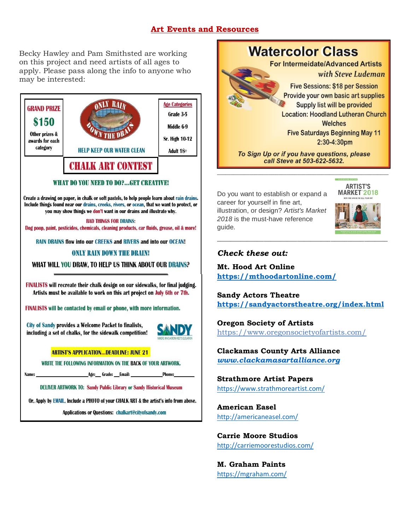## **Art Events and Resources**

Becky Hawley and Pam Smithsted are working on this project and need artists of all ages to apply. Please pass along the info to anyone who may be interested:



Or, Apply by EMAIL, Include a PHOTO of your CHALK ART & the artist's info from above.

Applications or Questions: chalkart@cityofsandy.com



*\_\_\_\_\_\_\_\_\_\_\_\_\_\_\_\_\_\_\_\_\_\_\_\_\_\_\_\_\_\_\_\_\_\_\_\_\_\_\_\_\_\_\_\_\_\_\_\_\_\_\_\_\_\_\_\_\_\_\_\_\_\_\_\_*

Do you want to establish or expand a career for yourself in fine art, illustration, or design? *Artist's Market 2018* is the must-have reference guide.



# *Check these out:*

**Mt. Hood Art Online <https://mthoodartonline.com/>**

**Sandy Actors Theatre <https://sandyactorstheatre.org/index.html>**

*\_\_\_\_\_\_\_\_\_\_\_\_\_\_\_\_\_\_\_\_\_\_\_\_\_\_\_\_\_\_\_\_\_\_\_\_\_\_\_\_\_\_\_\_\_\_\_\_\_\_\_*

**Oregon Society of Artists**

<https://www.oregonsocietyofartists.com/>

**Clackamas County Arts Alliance** *[www.clackamasartalliance.org](http://www.clackamasartalliance.org/)*

**Strathmore Artist Papers**

<https://www.strathmoreartist.com/>

**American Easel** <http://americaneasel.com/>

**Carrie Moore Studios** <http://carriemoorestudios.com/>

**M. Graham Paints** <https://mgraham.com/>